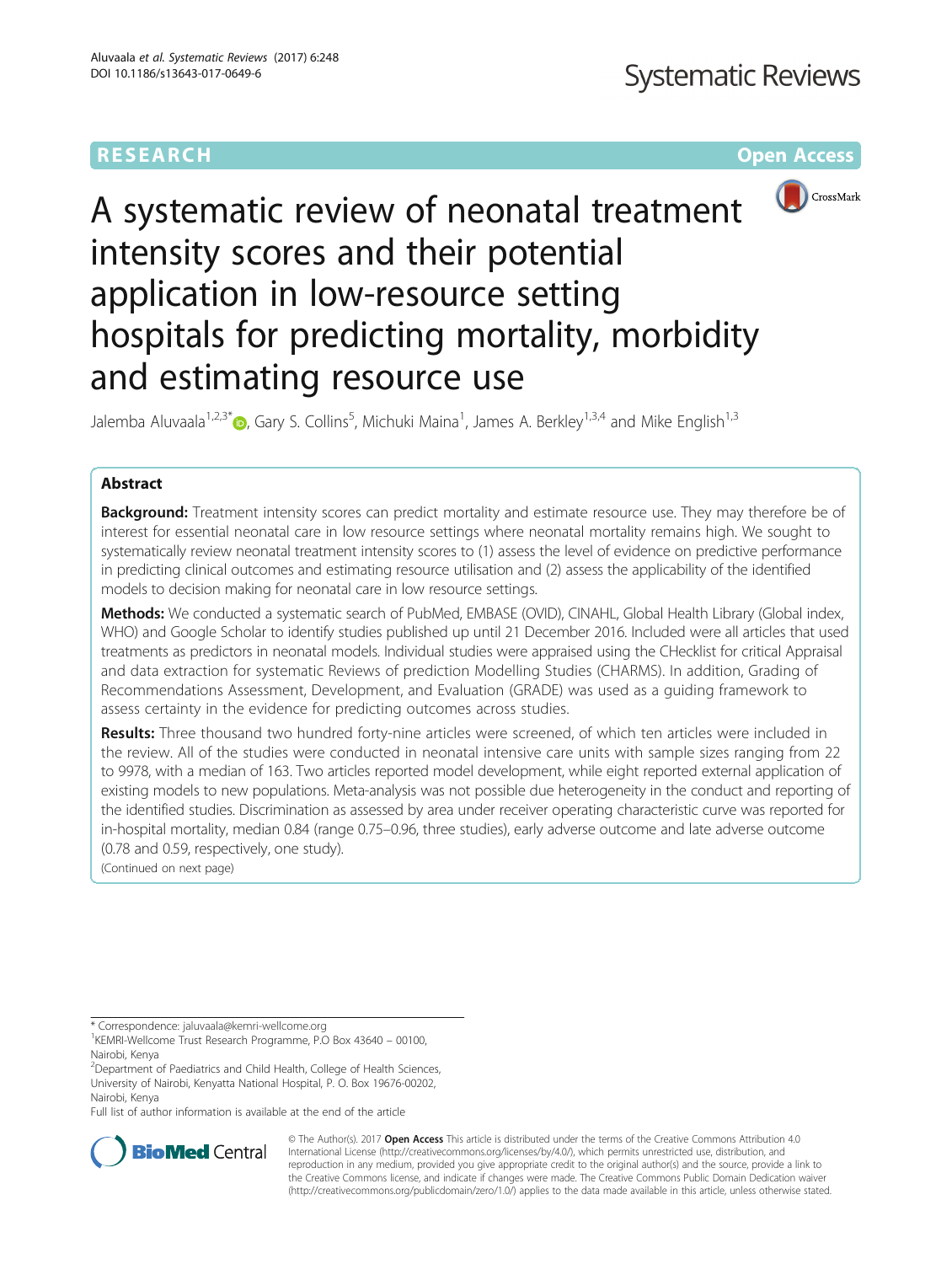# **RESEARCH CHEAR CHEAR CHEAR CHEAR CHEAR CHEAR CHEAR CHEAR CHEAR CHEAR CHEAR CHEAR CHEAR CHEAR CHEAR CHEAR CHEAR**



# A systematic review of neonatal treatment intensity scores and their potential application in low-resource setting hospitals for predicting mortality, morbidity and estimating resource use

Jalemba Aluvaala<sup>1,2,3\*</sup>®, Gary S. Collins<sup>5</sup>, Michuki Maina<sup>1</sup>, James A. Berkley<sup>1,3,4</sup> and Mike English<sup>1,3</sup>

# Abstract

Background: Treatment intensity scores can predict mortality and estimate resource use. They may therefore be of interest for essential neonatal care in low resource settings where neonatal mortality remains high. We sought to systematically review neonatal treatment intensity scores to (1) assess the level of evidence on predictive performance in predicting clinical outcomes and estimating resource utilisation and (2) assess the applicability of the identified models to decision making for neonatal care in low resource settings.

Methods: We conducted a systematic search of PubMed, EMBASE (OVID), CINAHL, Global Health Library (Global index, WHO) and Google Scholar to identify studies published up until 21 December 2016. Included were all articles that used treatments as predictors in neonatal models. Individual studies were appraised using the CHecklist for critical Appraisal and data extraction for systematic Reviews of prediction Modelling Studies (CHARMS). In addition, Grading of Recommendations Assessment, Development, and Evaluation (GRADE) was used as a guiding framework to assess certainty in the evidence for predicting outcomes across studies.

Results: Three thousand two hundred forty-nine articles were screened, of which ten articles were included in the review. All of the studies were conducted in neonatal intensive care units with sample sizes ranging from 22 to 9978, with a median of 163. Two articles reported model development, while eight reported external application of existing models to new populations. Meta-analysis was not possible due heterogeneity in the conduct and reporting of the identified studies. Discrimination as assessed by area under receiver operating characteristic curve was reported for in-hospital mortality, median 0.84 (range 0.75–0.96, three studies), early adverse outcome and late adverse outcome (0.78 and 0.59, respectively, one study).

(Continued on next page)

\* Correspondence: [jaluvaala@kemri-wellcome.org](mailto:jaluvaala@kemri-wellcome.org) <sup>1</sup>

<sup>1</sup>KEMRI-Wellcome Trust Research Programme, P.O Box 43640 - 00100, Nairobi, Kenya

<sup>2</sup>Department of Paediatrics and Child Health, College of Health Sciences, University of Nairobi, Kenyatta National Hospital, P. O. Box 19676-00202, Nairobi, Kenya

Full list of author information is available at the end of the article



© The Author(s). 2017 **Open Access** This article is distributed under the terms of the Creative Commons Attribution 4.0 International License [\(http://creativecommons.org/licenses/by/4.0/](http://creativecommons.org/licenses/by/4.0/)), which permits unrestricted use, distribution, and reproduction in any medium, provided you give appropriate credit to the original author(s) and the source, provide a link to the Creative Commons license, and indicate if changes were made. The Creative Commons Public Domain Dedication waiver [\(http://creativecommons.org/publicdomain/zero/1.0/](http://creativecommons.org/publicdomain/zero/1.0/)) applies to the data made available in this article, unless otherwise stated.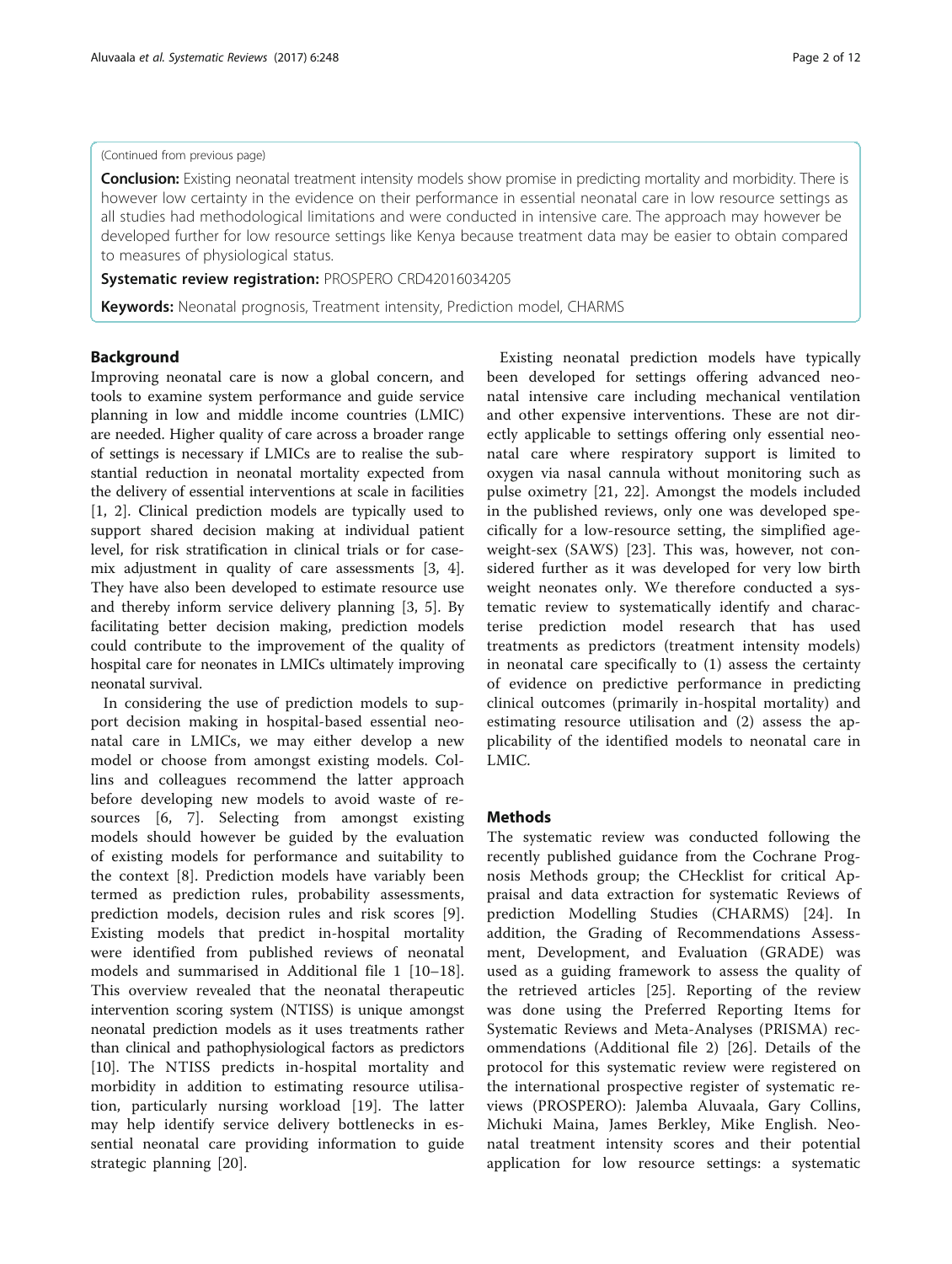#### (Continued from previous page)

**Conclusion:** Existing neonatal treatment intensity models show promise in predicting mortality and morbidity. There is however low certainty in the evidence on their performance in essential neonatal care in low resource settings as all studies had methodological limitations and were conducted in intensive care. The approach may however be developed further for low resource settings like Kenya because treatment data may be easier to obtain compared to measures of physiological status.

#### Systematic review registration: PROSPERO CRD42016034205

**Keywords:** Neonatal prognosis, Treatment intensity, Prediction model, CHARMS

#### Background

Improving neonatal care is now a global concern, and tools to examine system performance and guide service planning in low and middle income countries (LMIC) are needed. Higher quality of care across a broader range of settings is necessary if LMICs are to realise the substantial reduction in neonatal mortality expected from the delivery of essential interventions at scale in facilities [[1, 2\]](#page-10-0). Clinical prediction models are typically used to support shared decision making at individual patient level, for risk stratification in clinical trials or for casemix adjustment in quality of care assessments [[3, 4](#page-10-0)]. They have also been developed to estimate resource use and thereby inform service delivery planning [\[3](#page-10-0), [5\]](#page-10-0). By facilitating better decision making, prediction models could contribute to the improvement of the quality of hospital care for neonates in LMICs ultimately improving neonatal survival.

In considering the use of prediction models to support decision making in hospital-based essential neonatal care in LMICs, we may either develop a new model or choose from amongst existing models. Collins and colleagues recommend the latter approach before developing new models to avoid waste of resources [\[6](#page-10-0), [7](#page-10-0)]. Selecting from amongst existing models should however be guided by the evaluation of existing models for performance and suitability to the context [\[8](#page-10-0)]. Prediction models have variably been termed as prediction rules, probability assessments, prediction models, decision rules and risk scores [\[9](#page-10-0)]. Existing models that predict in-hospital mortality were identified from published reviews of neonatal models and summarised in Additional file [1](#page-9-0) [\[10](#page-10-0)–[18](#page-10-0)]. This overview revealed that the neonatal therapeutic intervention scoring system (NTISS) is unique amongst neonatal prediction models as it uses treatments rather than clinical and pathophysiological factors as predictors [[10](#page-10-0)]. The NTISS predicts in-hospital mortality and morbidity in addition to estimating resource utilisation, particularly nursing workload [\[19](#page-10-0)]. The latter may help identify service delivery bottlenecks in essential neonatal care providing information to guide strategic planning [\[20](#page-10-0)].

Existing neonatal prediction models have typically been developed for settings offering advanced neonatal intensive care including mechanical ventilation and other expensive interventions. These are not directly applicable to settings offering only essential neonatal care where respiratory support is limited to oxygen via nasal cannula without monitoring such as pulse oximetry [[21, 22\]](#page-10-0). Amongst the models included in the published reviews, only one was developed specifically for a low-resource setting, the simplified ageweight-sex (SAWS) [[23](#page-10-0)]. This was, however, not considered further as it was developed for very low birth weight neonates only. We therefore conducted a systematic review to systematically identify and characterise prediction model research that has used treatments as predictors (treatment intensity models) in neonatal care specifically to (1) assess the certainty of evidence on predictive performance in predicting clinical outcomes (primarily in-hospital mortality) and estimating resource utilisation and (2) assess the applicability of the identified models to neonatal care in LMIC.

#### Methods

The systematic review was conducted following the recently published guidance from the Cochrane Prognosis Methods group; the CHecklist for critical Appraisal and data extraction for systematic Reviews of prediction Modelling Studies (CHARMS) [[24\]](#page-10-0). In addition, the Grading of Recommendations Assessment, Development, and Evaluation (GRADE) was used as a guiding framework to assess the quality of the retrieved articles [\[25](#page-10-0)]. Reporting of the review was done using the Preferred Reporting Items for Systematic Reviews and Meta-Analyses (PRISMA) recommendations (Additional file [2\)](#page-9-0) [\[26](#page-10-0)]. Details of the protocol for this systematic review were registered on the international prospective register of systematic reviews (PROSPERO): Jalemba Aluvaala, Gary Collins, Michuki Maina, James Berkley, Mike English. Neonatal treatment intensity scores and their potential application for low resource settings: a systematic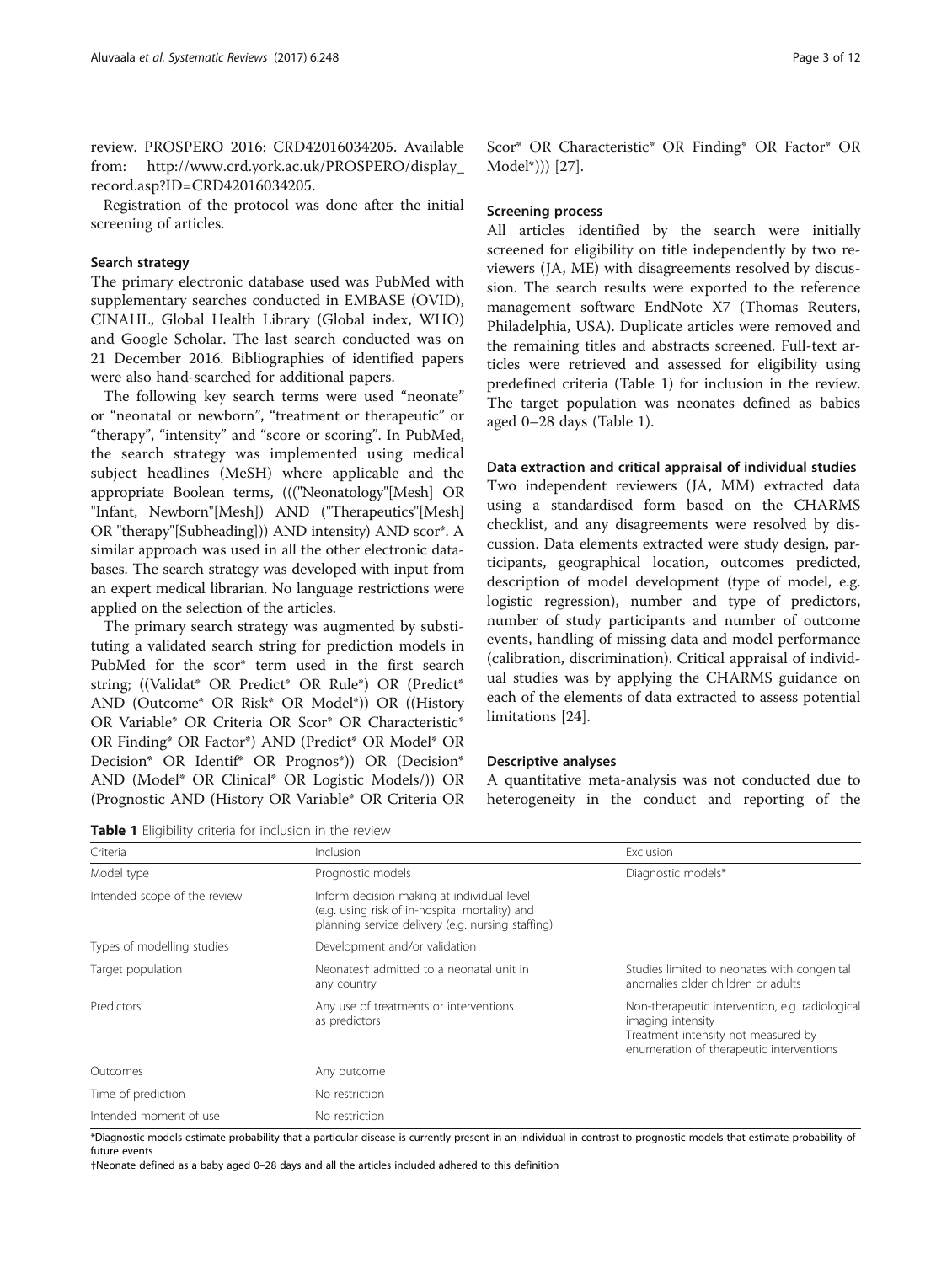review. PROSPERO 2016: CRD42016034205. Available from: [http://www.crd.york.ac.uk/PROSPERO/display\\_](http://www.crd.york.ac.uk/PROSPERO/display_record.asp%3FID=CRD42016034205) [record.asp?ID=CRD42016034205](http://www.crd.york.ac.uk/PROSPERO/display_record.asp%3FID=CRD42016034205).

Registration of the protocol was done after the initial screening of articles.

#### Search strategy

The primary electronic database used was PubMed with supplementary searches conducted in EMBASE (OVID), CINAHL, Global Health Library (Global index, WHO) and Google Scholar. The last search conducted was on 21 December 2016. Bibliographies of identified papers were also hand-searched for additional papers.

The following key search terms were used "neonate" or "neonatal or newborn", "treatment or therapeutic" or "therapy", "intensity" and "score or scoring". In PubMed, the search strategy was implemented using medical subject headlines (MeSH) where applicable and the appropriate Boolean terms, ((("Neonatology"[Mesh] OR "Infant, Newborn"[Mesh]) AND ("Therapeutics"[Mesh] OR "therapy"[Subheading])) AND intensity) AND scor\*. A similar approach was used in all the other electronic databases. The search strategy was developed with input from an expert medical librarian. No language restrictions were applied on the selection of the articles.

The primary search strategy was augmented by substituting a validated search string for prediction models in PubMed for the scor\* term used in the first search string; ((Validat\* OR Predict\* OR Rule\*) OR (Predict\* AND (Outcome\* OR Risk\* OR Model\*)) OR ((History OR Variable\* OR Criteria OR Scor\* OR Characteristic\* OR Finding\* OR Factor\*) AND (Predict\* OR Model\* OR Decision\* OR Identif\* OR Prognos\*)) OR (Decision\* AND (Model\* OR Clinical\* OR Logistic Models/)) OR (Prognostic AND (History OR Variable\* OR Criteria OR

Table 1 Eligibility criteria for inclusion in the review

Scor\* OR Characteristic\* OR Finding\* OR Factor\* OR Model\*))) [\[27](#page-10-0)].

#### Screening process

All articles identified by the search were initially screened for eligibility on title independently by two reviewers (JA, ME) with disagreements resolved by discussion. The search results were exported to the reference management software EndNote X7 (Thomas Reuters, Philadelphia, USA). Duplicate articles were removed and the remaining titles and abstracts screened. Full-text articles were retrieved and assessed for eligibility using predefined criteria (Table 1) for inclusion in the review. The target population was neonates defined as babies aged 0–28 days (Table 1).

#### Data extraction and critical appraisal of individual studies

Two independent reviewers (JA, MM) extracted data using a standardised form based on the CHARMS checklist, and any disagreements were resolved by discussion. Data elements extracted were study design, participants, geographical location, outcomes predicted, description of model development (type of model, e.g. logistic regression), number and type of predictors, number of study participants and number of outcome events, handling of missing data and model performance (calibration, discrimination). Critical appraisal of individual studies was by applying the CHARMS guidance on each of the elements of data extracted to assess potential limitations [\[24](#page-10-0)].

#### Descriptive analyses

A quantitative meta-analysis was not conducted due to heterogeneity in the conduct and reporting of the

| Criteria                     | Inclusion                                                                                                                                         | Exclusion                                                                                                                                               |
|------------------------------|---------------------------------------------------------------------------------------------------------------------------------------------------|---------------------------------------------------------------------------------------------------------------------------------------------------------|
| Model type                   | Prognostic models                                                                                                                                 | Diagnostic models*                                                                                                                                      |
| Intended scope of the review | Inform decision making at individual level<br>(e.g. using risk of in-hospital mortality) and<br>planning service delivery (e.g. nursing staffing) |                                                                                                                                                         |
| Types of modelling studies   | Development and/or validation                                                                                                                     |                                                                                                                                                         |
| Target population            | Neonatest admitted to a neonatal unit in<br>any country                                                                                           | Studies limited to neonates with congenital<br>anomalies older children or adults                                                                       |
| Predictors                   | Any use of treatments or interventions<br>as predictors                                                                                           | Non-therapeutic intervention, e.g. radiological<br>imaging intensity<br>Treatment intensity not measured by<br>enumeration of therapeutic interventions |
| Qutcomes                     | Any outcome                                                                                                                                       |                                                                                                                                                         |
| Time of prediction           | No restriction                                                                                                                                    |                                                                                                                                                         |
| Intended moment of use       | No restriction                                                                                                                                    |                                                                                                                                                         |

\*Diagnostic models estimate probability that a particular disease is currently present in an individual in contrast to prognostic models that estimate probability of future events

†Neonate defined as a baby aged 0–28 days and all the articles included adhered to this definition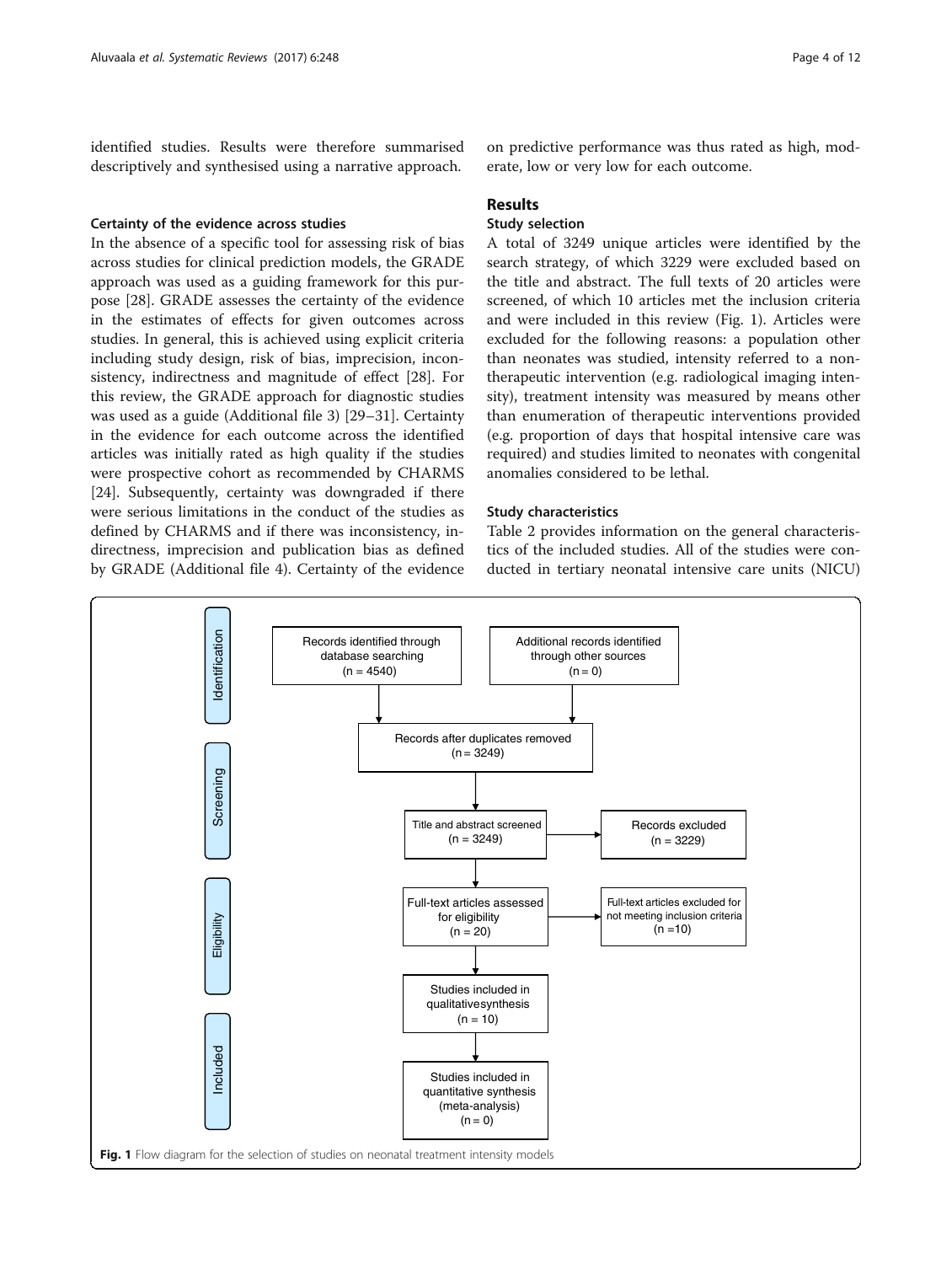identified studies. Results were therefore summarised descriptively and synthesised using a narrative approach.

#### Certainty of the evidence across studies

In the absence of a specific tool for assessing risk of bias across studies for clinical prediction models, the GRADE approach was used as a guiding framework for this purpose [[28\]](#page-10-0). GRADE assesses the certainty of the evidence in the estimates of effects for given outcomes across studies. In general, this is achieved using explicit criteria including study design, risk of bias, imprecision, inconsistency, indirectness and magnitude of effect [\[28\]](#page-10-0). For this review, the GRADE approach for diagnostic studies was used as a guide (Additional file [3\)](#page-9-0) [[29](#page-10-0)–[31](#page-10-0)]. Certainty in the evidence for each outcome across the identified articles was initially rated as high quality if the studies were prospective cohort as recommended by CHARMS [[24\]](#page-10-0). Subsequently, certainty was downgraded if there were serious limitations in the conduct of the studies as defined by CHARMS and if there was inconsistency, indirectness, imprecision and publication bias as defined by GRADE (Additional file [4](#page-9-0)). Certainty of the evidence

on predictive performance was thus rated as high, moderate, low or very low for each outcome.

#### Results

# Study selection

A total of 3249 unique articles were identified by the search strategy, of which 3229 were excluded based on the title and abstract. The full texts of 20 articles were screened, of which 10 articles met the inclusion criteria and were included in this review (Fig. 1). Articles were excluded for the following reasons: a population other than neonates was studied, intensity referred to a nontherapeutic intervention (e.g. radiological imaging intensity), treatment intensity was measured by means other than enumeration of therapeutic interventions provided (e.g. proportion of days that hospital intensive care was required) and studies limited to neonates with congenital anomalies considered to be lethal.

#### Study characteristics

Table [2](#page-4-0) provides information on the general characteristics of the included studies. All of the studies were conducted in tertiary neonatal intensive care units (NICU)

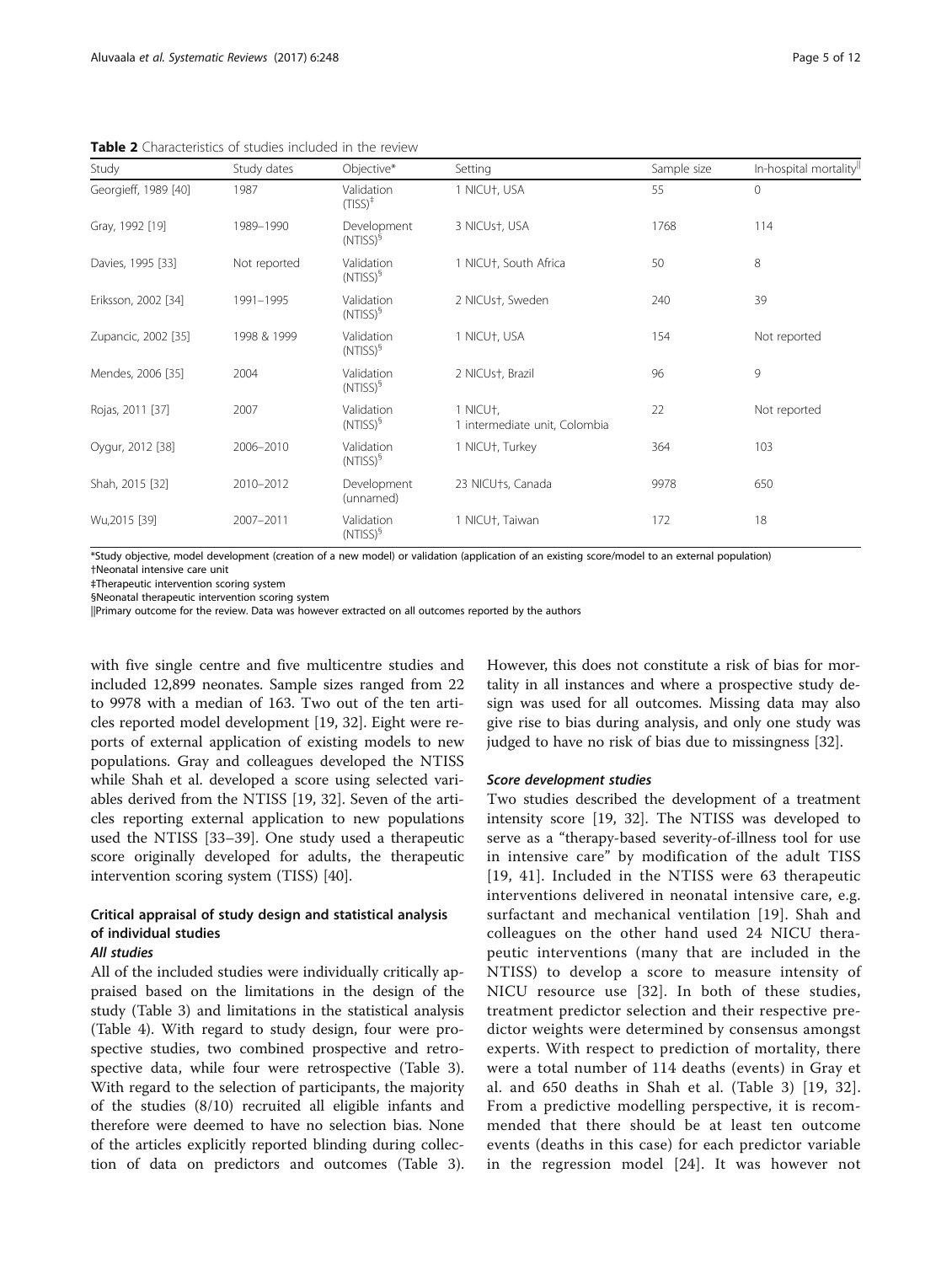<span id="page-4-0"></span>Table 2 Characteristics of studies included in the review

| Study                | Study dates  | Objective*                   | Setting                                                | Sample size | In-hospital mortality |  |
|----------------------|--------------|------------------------------|--------------------------------------------------------|-------------|-----------------------|--|
| Georgieff, 1989 [40] | 1987         | Validation<br>$(TISS)^+$     | 1 NICU <sub>T</sub> , USA                              | 55          | $\mathbf 0$           |  |
| Gray, 1992 [19]      | 1989-1990    | Development<br>$(NTISS)^{5}$ | 3 NICUst, USA<br>1768                                  |             | 114                   |  |
| Davies, 1995 [33]    | Not reported | Validation<br>$(NTISS)^{5}$  | 1 NICU†, South Africa<br>50                            |             | 8                     |  |
| Eriksson, 2002 [34]  | 1991-1995    | Validation<br>$(NTISS)^{5}$  | 2 NICUst, Sweden<br>240                                |             | 39                    |  |
| Zupancic, 2002 [35]  | 1998 & 1999  | Validation<br>$(NTISS)^{5}$  | 1 NICU <sub>T</sub> , USA                              | 154         | Not reported          |  |
| Mendes, 2006 [35]    | 2004         | Validation<br>$(NTISS)^{5}$  | 2 NICUst, Brazil<br>96                                 |             | 9                     |  |
| Rojas, 2011 [37]     | 2007         | Validation<br>$(NTISS)^{5}$  | 1 NICU <sub>t</sub> ,<br>1 intermediate unit, Colombia | 22          | Not reported          |  |
| Oygur, 2012 [38]     | 2006-2010    | Validation<br>$(NTISS)^{5}$  | 1 NICUt, Turkey                                        | 364         | 103                   |  |
| Shah, 2015 [32]      | 2010-2012    | Development<br>(unnamed)     | 23 NICU†s, Canada                                      | 9978        | 650                   |  |
| Wu,2015 [39]         | 2007-2011    | Validation<br>$(NTISS)^{5}$  | 1 NICU†, Taiwan                                        | 172         | 18                    |  |

\*Study objective, model development (creation of a new model) or validation (application of an existing score/model to an external population) †Neonatal intensive care unit

‡Therapeutic intervention scoring system

§Neonatal therapeutic intervention scoring system

||Primary outcome for the review. Data was however extracted on all outcomes reported by the authors

with five single centre and five multicentre studies and included 12,899 neonates. Sample sizes ranged from 22 to 9978 with a median of 163. Two out of the ten articles reported model development [[19](#page-10-0), [32](#page-10-0)]. Eight were reports of external application of existing models to new populations. Gray and colleagues developed the NTISS while Shah et al. developed a score using selected variables derived from the NTISS [[19, 32\]](#page-10-0). Seven of the articles reporting external application to new populations used the NTISS [\[33](#page-10-0)–[39\]](#page-10-0). One study used a therapeutic score originally developed for adults, the therapeutic intervention scoring system (TISS) [\[40](#page-10-0)].

# Critical appraisal of study design and statistical analysis of individual studies

#### All studies

All of the included studies were individually critically appraised based on the limitations in the design of the study (Table [3](#page-5-0)) and limitations in the statistical analysis (Table [4](#page-5-0)). With regard to study design, four were prospective studies, two combined prospective and retrospective data, while four were retrospective (Table [3](#page-5-0)). With regard to the selection of participants, the majority of the studies (8/10) recruited all eligible infants and therefore were deemed to have no selection bias. None of the articles explicitly reported blinding during collection of data on predictors and outcomes (Table [3](#page-5-0)).

However, this does not constitute a risk of bias for mortality in all instances and where a prospective study design was used for all outcomes. Missing data may also give rise to bias during analysis, and only one study was judged to have no risk of bias due to missingness [[32](#page-10-0)].

#### Score development studies

Two studies described the development of a treatment intensity score [[19, 32\]](#page-10-0). The NTISS was developed to serve as a "therapy-based severity-of-illness tool for use in intensive care" by modification of the adult TISS [[19](#page-10-0), [41](#page-10-0)]. Included in the NTISS were 63 therapeutic interventions delivered in neonatal intensive care, e.g. surfactant and mechanical ventilation [\[19\]](#page-10-0). Shah and colleagues on the other hand used 24 NICU therapeutic interventions (many that are included in the NTISS) to develop a score to measure intensity of NICU resource use [[32](#page-10-0)]. In both of these studies, treatment predictor selection and their respective predictor weights were determined by consensus amongst experts. With respect to prediction of mortality, there were a total number of 114 deaths (events) in Gray et al. and 650 deaths in Shah et al. (Table [3](#page-5-0)) [[19, 32](#page-10-0)]. From a predictive modelling perspective, it is recommended that there should be at least ten outcome events (deaths in this case) for each predictor variable in the regression model [[24](#page-10-0)]. It was however not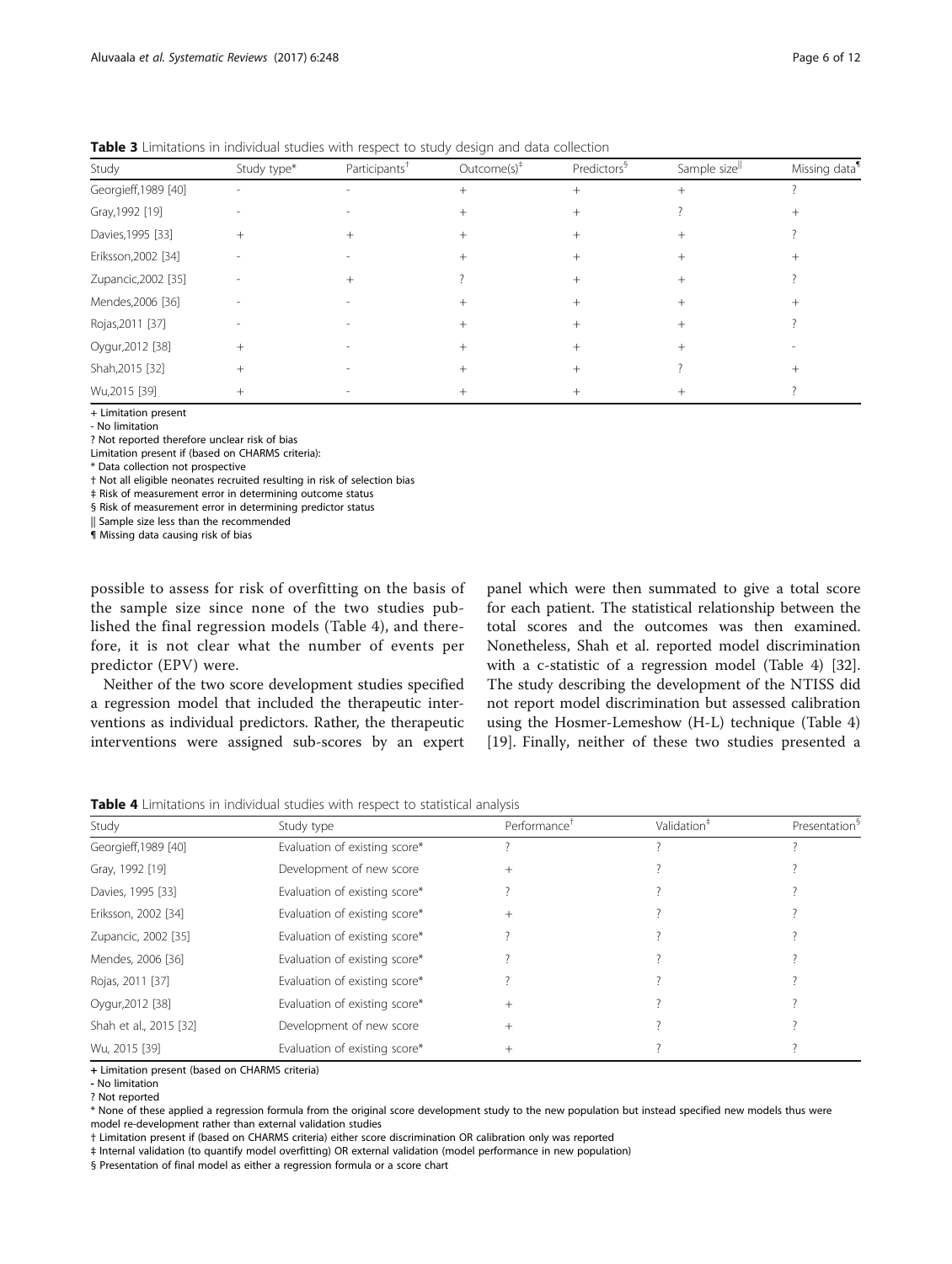| Study                | Study type*    | Participants <sup>†</sup> | Outcome $(s)^*$ | Predictors <sup>9</sup> | Sample sizell | Missing data <sup>1</sup> |
|----------------------|----------------|---------------------------|-----------------|-------------------------|---------------|---------------------------|
| Georgieff, 1989 [40] | $\overline{a}$ |                           | +               | $^+$                    | $^+$          |                           |
| Gray, 1992 [19]      |                |                           |                 |                         |               |                           |
| Davies, 1995 [33]    | $^{+}$         |                           |                 |                         |               |                           |
| Eriksson, 2002 [34]  |                |                           | +               |                         |               |                           |
| Zupancic, 2002 [35]  |                |                           |                 |                         |               |                           |
| Mendes, 2006 [36]    |                |                           | +               |                         |               |                           |
| Rojas, 2011 [37]     |                |                           | +               |                         |               |                           |
| Oygur, 2012 [38]     | $^{+}$         |                           |                 |                         |               |                           |
| Shah, 2015 [32]      | $^{+}$         |                           |                 |                         |               |                           |
| Wu,2015 [39]         | $^{+}$         |                           |                 |                         |               |                           |

<span id="page-5-0"></span>Table 3 Limitations in individual studies with respect to study design and data collection

+ Limitation present

- No limitation

? Not reported therefore unclear risk of bias

Limitation present if (based on CHARMS criteria):

\* Data collection not prospective

† Not all eligible neonates recruited resulting in risk of selection bias

‡ Risk of measurement error in determining outcome status

§ Risk of measurement error in determining predictor status

|| Sample size less than the recommended

¶ Missing data causing risk of bias

possible to assess for risk of overfitting on the basis of the sample size since none of the two studies published the final regression models (Table 4), and therefore, it is not clear what the number of events per predictor (EPV) were.

Neither of the two score development studies specified a regression model that included the therapeutic interventions as individual predictors. Rather, the therapeutic interventions were assigned sub-scores by an expert

panel which were then summated to give a total score for each patient. The statistical relationship between the total scores and the outcomes was then examined. Nonetheless, Shah et al. reported model discrimination with a c-statistic of a regression model (Table 4) [\[32](#page-10-0)]. The study describing the development of the NTISS did not report model discrimination but assessed calibration using the Hosmer-Lemeshow (H-L) technique (Table 4) [[19\]](#page-10-0). Finally, neither of these two studies presented a

Table 4 Limitations in individual studies with respect to statistical analysis

| Study                  | Study type                    | Performance <sup>+</sup> | Validation <sup>#</sup> | Presentation <sup>s</sup> |
|------------------------|-------------------------------|--------------------------|-------------------------|---------------------------|
| Georgieff, 1989 [40]   | Evaluation of existing score* |                          |                         |                           |
| Gray, 1992 [19]        | Development of new score      |                          |                         |                           |
| Davies, 1995 [33]      | Evaluation of existing score* |                          |                         |                           |
| Eriksson, 2002 [34]    | Evaluation of existing score* |                          |                         |                           |
| Zupancic, 2002 [35]    | Evaluation of existing score* |                          |                         |                           |
| Mendes, 2006 [36]      | Evaluation of existing score* |                          |                         |                           |
| Rojas, 2011 [37]       | Evaluation of existing score* |                          |                         |                           |
| Oygur, 2012 [38]       | Evaluation of existing score* |                          |                         |                           |
| Shah et al., 2015 [32] | Development of new score      | $+$                      |                         |                           |
| Wu, 2015 [39]          | Evaluation of existing score* |                          |                         |                           |

+ Limitation present (based on CHARMS criteria)

- No limitation

? Not reported

\* None of these applied a regression formula from the original score development study to the new population but instead specified new models thus were model re-development rather than external validation studies

† Limitation present if (based on CHARMS criteria) either score discrimination OR calibration only was reported

‡ Internal validation (to quantify model overfitting) OR external validation (model performance in new population)

§ Presentation of final model as either a regression formula or a score chart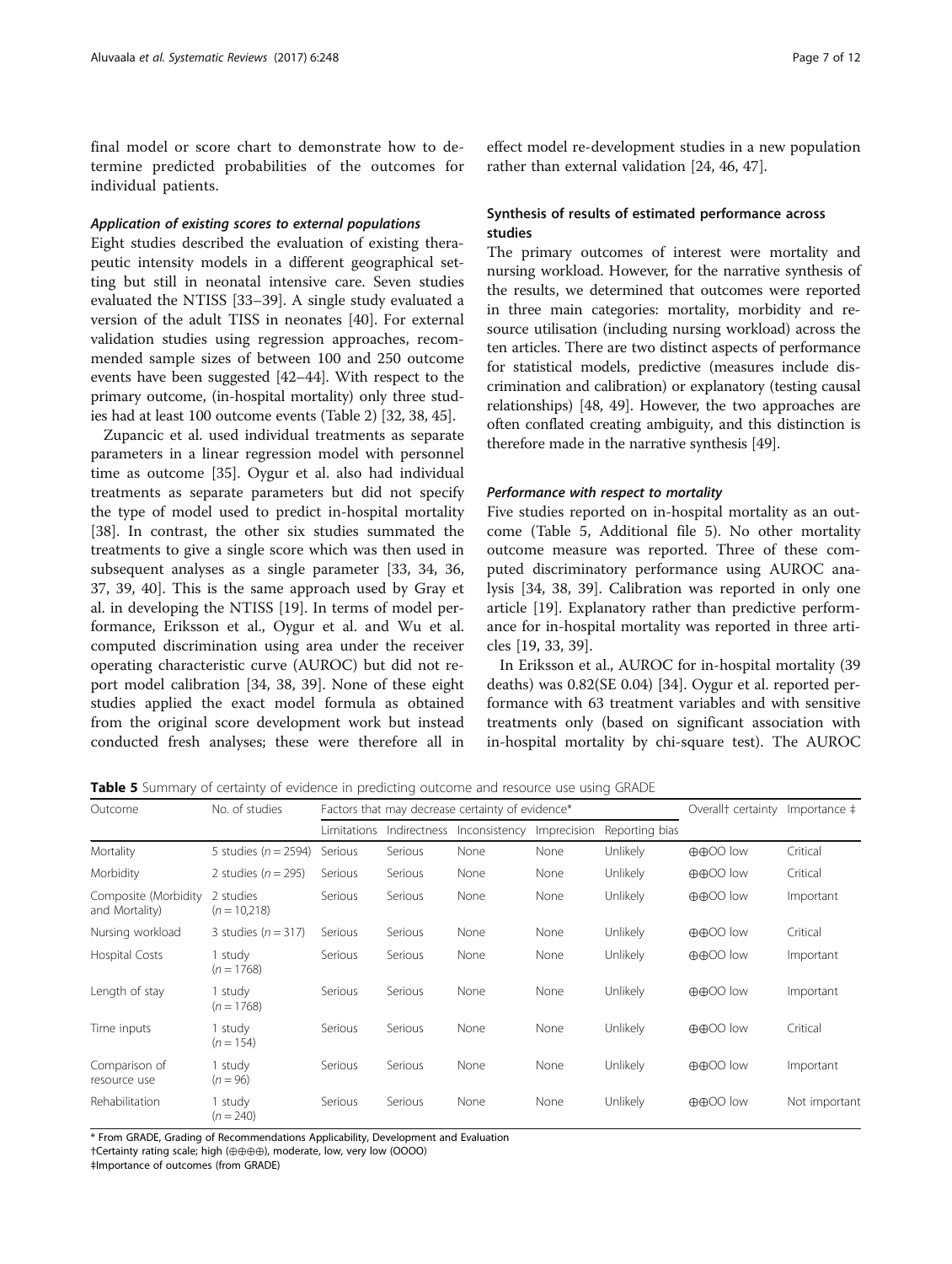<span id="page-6-0"></span>final model or score chart to demonstrate how to determine predicted probabilities of the outcomes for individual patients.

#### Application of existing scores to external populations

Eight studies described the evaluation of existing therapeutic intensity models in a different geographical setting but still in neonatal intensive care. Seven studies evaluated the NTISS [\[33](#page-10-0)–[39\]](#page-10-0). A single study evaluated a version of the adult TISS in neonates [\[40\]](#page-10-0). For external validation studies using regression approaches, recommended sample sizes of between 100 and 250 outcome events have been suggested [[42](#page-10-0)–[44\]](#page-10-0). With respect to the primary outcome, (in-hospital mortality) only three studies had at least 100 outcome events (Table [2\)](#page-4-0) [[32](#page-10-0), [38, 45\]](#page-10-0).

Zupancic et al. used individual treatments as separate parameters in a linear regression model with personnel time as outcome [\[35](#page-10-0)]. Oygur et al. also had individual treatments as separate parameters but did not specify the type of model used to predict in-hospital mortality [[38\]](#page-10-0). In contrast, the other six studies summated the treatments to give a single score which was then used in subsequent analyses as a single parameter [\[33, 34, 36](#page-10-0), [37, 39](#page-10-0), [40](#page-10-0)]. This is the same approach used by Gray et al. in developing the NTISS [[19](#page-10-0)]. In terms of model performance, Eriksson et al., Oygur et al. and Wu et al. computed discrimination using area under the receiver operating characteristic curve (AUROC) but did not report model calibration [\[34, 38, 39\]](#page-10-0). None of these eight studies applied the exact model formula as obtained from the original score development work but instead conducted fresh analyses; these were therefore all in

effect model re-development studies in a new population rather than external validation [\[24](#page-10-0), [46](#page-10-0), [47\]](#page-10-0).

#### Synthesis of results of estimated performance across studies

The primary outcomes of interest were mortality and nursing workload. However, for the narrative synthesis of the results, we determined that outcomes were reported in three main categories: mortality, morbidity and resource utilisation (including nursing workload) across the ten articles. There are two distinct aspects of performance for statistical models, predictive (measures include discrimination and calibration) or explanatory (testing causal relationships) [[48](#page-10-0), [49](#page-10-0)]. However, the two approaches are often conflated creating ambiguity, and this distinction is therefore made in the narrative synthesis [\[49\]](#page-10-0).

#### Performance with respect to mortality

Five studies reported on in-hospital mortality as an outcome (Table 5, Additional file [5\)](#page-9-0). No other mortality outcome measure was reported. Three of these computed discriminatory performance using AUROC analysis [\[34](#page-10-0), [38](#page-10-0), [39\]](#page-10-0). Calibration was reported in only one article [[19\]](#page-10-0). Explanatory rather than predictive performance for in-hospital mortality was reported in three articles [[19, 33, 39\]](#page-10-0).

In Eriksson et al., AUROC for in-hospital mortality (39 deaths) was 0.82(SE 0.04) [[34\]](#page-10-0). Oygur et al. reported performance with 63 treatment variables and with sensitive treatments only (based on significant association with in-hospital mortality by chi-square test). The AUROC

**Table 5** Summary of certainty of evidence in predicting outcome and resource use using GRADE

| Outcome                                | No. of studies              | Factors that may decrease certainty of evidence* |              |               |             |                | Overall <sup>+</sup> certainty | Importance ‡  |
|----------------------------------------|-----------------------------|--------------------------------------------------|--------------|---------------|-------------|----------------|--------------------------------|---------------|
|                                        |                             | Limitations                                      | Indirectness | Inconsistency | Imprecision | Reporting bias |                                |               |
| Mortality                              | 5 studies ( $n = 2594$ )    | Serious                                          | Serious      | None          | None        | Unlikely       | ⊕⊕OO low                       | Critical      |
| Morbidity                              | 2 studies ( $n = 295$ )     | Serious                                          | Serious      | None          | None        | Unlikely       | $\oplus \oplus$ OO low         | Critical      |
| Composite (Morbidity<br>and Mortality) | 2 studies<br>$(n = 10,218)$ | Serious                                          | Serious      | None          | None        | Unlikely       | ⊕⊕OO low                       | Important     |
| Nursing workload                       | 3 studies ( $n = 317$ )     | Serious                                          | Serious      | None          | None        | Unlikely       | ⊕⊕OO low                       | Critical      |
| Hospital Costs                         | study<br>$(n = 1768)$       | Serious                                          | Serious      | None          | None        | Unlikely       | $\oplus \oplus$ OO low         | Important     |
| Length of stay                         | 1 study<br>$(n = 1768)$     | Serious                                          | Serious      | None          | None        | Unlikely       | $\oplus \oplus$ OO low         | Important     |
| Time inputs                            | study<br>$(n = 154)$        | Serious                                          | Serious      | None          | None        | Unlikely       | ⊕⊕OO low                       | Critical      |
| Comparison of<br>resource use          | 1 study<br>$(n = 96)$       | Serious                                          | Serious      | None          | None        | Unlikely       | ⊕⊕OO low                       | Important     |
| Rehabilitation                         | I study<br>$(n = 240)$      | Serious                                          | Serious      | None          | None        | Unlikely       | ⊕⊕OO low                       | Not important |

\* From GRADE, Grading of Recommendations Applicability, Development and Evaluation

†Certainty rating scale; high (⊕⊕⊕⊕), moderate, low, very low (OOOO)

‡Importance of outcomes (from GRADE)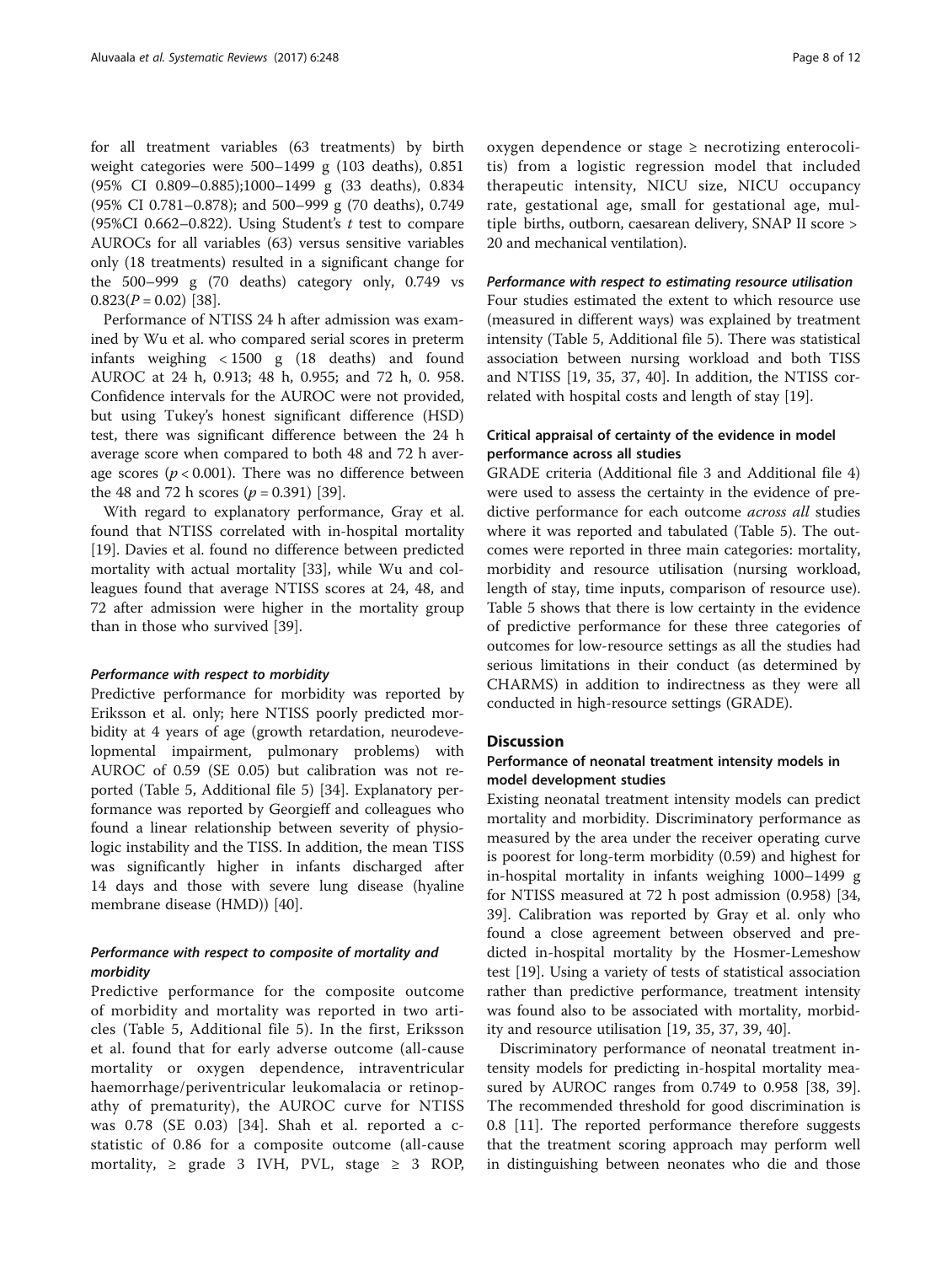for all treatment variables (63 treatments) by birth weight categories were 500–1499 g (103 deaths), 0.851 (95% CI 0.809–0.885);1000–1499 g (33 deaths), 0.834 (95% CI 0.781–0.878); and 500–999 g (70 deaths), 0.749 (95%CI 0.662–0.822). Using Student's  $t$  test to compare AUROCs for all variables (63) versus sensitive variables only (18 treatments) resulted in a significant change for the 500–999 g (70 deaths) category only, 0.749 vs  $0.823(P = 0.02)$  [[38\]](#page-10-0).

Performance of NTISS 24 h after admission was examined by Wu et al. who compared serial scores in preterm infants weighing < 1500 g (18 deaths) and found AUROC at 24 h, 0.913; 48 h, 0.955; and 72 h, 0. 958. Confidence intervals for the AUROC were not provided, but using Tukey's honest significant difference (HSD) test, there was significant difference between the 24 h average score when compared to both 48 and 72 h average scores ( $p < 0.001$ ). There was no difference between the 48 and 72 h scores ( $p = 0.391$ ) [\[39](#page-10-0)].

With regard to explanatory performance, Gray et al. found that NTISS correlated with in-hospital mortality [[19\]](#page-10-0). Davies et al. found no difference between predicted mortality with actual mortality [\[33\]](#page-10-0), while Wu and colleagues found that average NTISS scores at 24, 48, and 72 after admission were higher in the mortality group than in those who survived [\[39\]](#page-10-0).

#### Performance with respect to morbidity

Predictive performance for morbidity was reported by Eriksson et al. only; here NTISS poorly predicted morbidity at 4 years of age (growth retardation, neurodevelopmental impairment, pulmonary problems) with AUROC of 0.59 (SE 0.05) but calibration was not reported (Table [5,](#page-6-0) Additional file [5](#page-9-0)) [\[34](#page-10-0)]. Explanatory performance was reported by Georgieff and colleagues who found a linear relationship between severity of physiologic instability and the TISS. In addition, the mean TISS was significantly higher in infants discharged after 14 days and those with severe lung disease (hyaline membrane disease (HMD)) [\[40](#page-10-0)].

### Performance with respect to composite of mortality and morbidity

Predictive performance for the composite outcome of morbidity and mortality was reported in two articles (Table [5](#page-6-0), Additional file [5](#page-9-0)). In the first, Eriksson et al. found that for early adverse outcome (all-cause mortality or oxygen dependence, intraventricular haemorrhage/periventricular leukomalacia or retinopathy of prematurity), the AUROC curve for NTISS was 0.78 (SE 0.03) [[34](#page-10-0)]. Shah et al. reported a cstatistic of 0.86 for a composite outcome (all-cause mortality,  $\geq$  grade 3 IVH, PVL, stage  $\geq$  3 ROP, oxygen dependence or stage  $\geq$  necrotizing enterocolitis) from a logistic regression model that included therapeutic intensity, NICU size, NICU occupancy rate, gestational age, small for gestational age, multiple births, outborn, caesarean delivery, SNAP II score > 20 and mechanical ventilation).

#### Performance with respect to estimating resource utilisation

Four studies estimated the extent to which resource use (measured in different ways) was explained by treatment intensity (Table [5,](#page-6-0) Additional file [5](#page-9-0)). There was statistical association between nursing workload and both TISS and NTISS [[19](#page-10-0), [35, 37](#page-10-0), [40\]](#page-10-0). In addition, the NTISS correlated with hospital costs and length of stay [[19\]](#page-10-0).

# Critical appraisal of certainty of the evidence in model performance across all studies

GRADE criteria (Additional file [3](#page-9-0) and Additional file [4](#page-9-0)) were used to assess the certainty in the evidence of predictive performance for each outcome *across all* studies where it was reported and tabulated (Table [5](#page-6-0)). The outcomes were reported in three main categories: mortality, morbidity and resource utilisation (nursing workload, length of stay, time inputs, comparison of resource use). Table [5](#page-6-0) shows that there is low certainty in the evidence of predictive performance for these three categories of outcomes for low-resource settings as all the studies had serious limitations in their conduct (as determined by CHARMS) in addition to indirectness as they were all conducted in high-resource settings (GRADE).

#### **Discussion**

### Performance of neonatal treatment intensity models in model development studies

Existing neonatal treatment intensity models can predict mortality and morbidity. Discriminatory performance as measured by the area under the receiver operating curve is poorest for long-term morbidity (0.59) and highest for in-hospital mortality in infants weighing 1000–1499 g for NTISS measured at 72 h post admission (0.958) [[34](#page-10-0), [39\]](#page-10-0). Calibration was reported by Gray et al. only who found a close agreement between observed and predicted in-hospital mortality by the Hosmer-Lemeshow test [[19](#page-10-0)]. Using a variety of tests of statistical association rather than predictive performance, treatment intensity was found also to be associated with mortality, morbidity and resource utilisation [\[19](#page-10-0), [35, 37, 39, 40\]](#page-10-0).

Discriminatory performance of neonatal treatment intensity models for predicting in-hospital mortality measured by AUROC ranges from 0.749 to 0.958 [\[38, 39](#page-10-0)]. The recommended threshold for good discrimination is 0.8 [[11\]](#page-10-0). The reported performance therefore suggests that the treatment scoring approach may perform well in distinguishing between neonates who die and those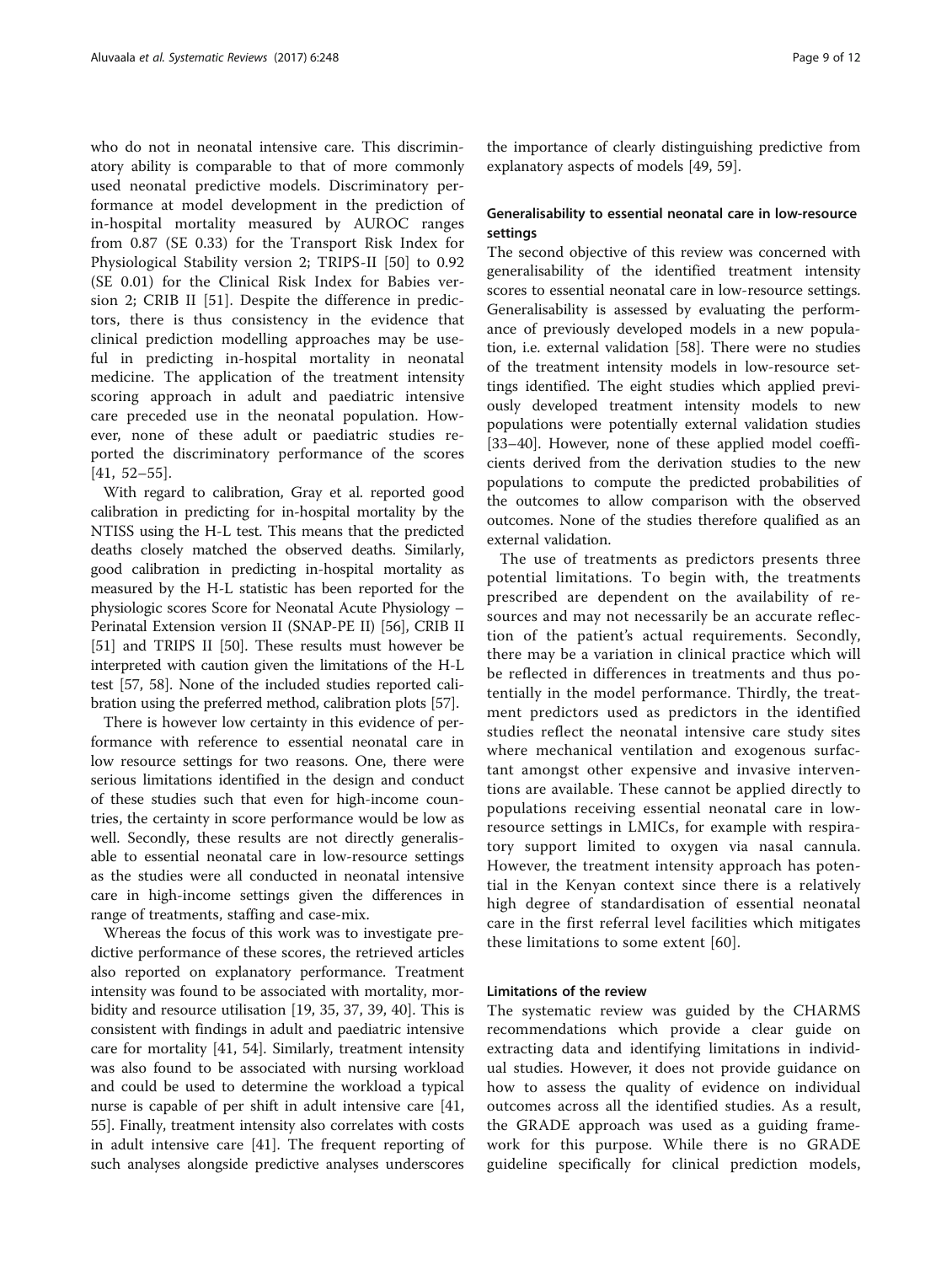who do not in neonatal intensive care. This discriminatory ability is comparable to that of more commonly used neonatal predictive models. Discriminatory performance at model development in the prediction of in-hospital mortality measured by AUROC ranges from 0.87 (SE 0.33) for the Transport Risk Index for Physiological Stability version 2; TRIPS-II [\[50](#page-10-0)] to 0.92 (SE 0.01) for the Clinical Risk Index for Babies version 2; CRIB II [\[51](#page-11-0)]. Despite the difference in predictors, there is thus consistency in the evidence that clinical prediction modelling approaches may be useful in predicting in-hospital mortality in neonatal medicine. The application of the treatment intensity scoring approach in adult and paediatric intensive care preceded use in the neonatal population. However, none of these adult or paediatric studies reported the discriminatory performance of the scores [[41,](#page-10-0) [52](#page-11-0)–[55](#page-11-0)].

With regard to calibration, Gray et al. reported good calibration in predicting for in-hospital mortality by the NTISS using the H-L test. This means that the predicted deaths closely matched the observed deaths. Similarly, good calibration in predicting in-hospital mortality as measured by the H-L statistic has been reported for the physiologic scores Score for Neonatal Acute Physiology – Perinatal Extension version II (SNAP-PE II) [\[56\]](#page-11-0), CRIB II [[51](#page-11-0)] and TRIPS II [\[50\]](#page-10-0). These results must however be interpreted with caution given the limitations of the H-L test [[57](#page-11-0), [58](#page-11-0)]. None of the included studies reported calibration using the preferred method, calibration plots [[57](#page-11-0)].

There is however low certainty in this evidence of performance with reference to essential neonatal care in low resource settings for two reasons. One, there were serious limitations identified in the design and conduct of these studies such that even for high-income countries, the certainty in score performance would be low as well. Secondly, these results are not directly generalisable to essential neonatal care in low-resource settings as the studies were all conducted in neonatal intensive care in high-income settings given the differences in range of treatments, staffing and case-mix.

Whereas the focus of this work was to investigate predictive performance of these scores, the retrieved articles also reported on explanatory performance. Treatment intensity was found to be associated with mortality, morbidity and resource utilisation [\[19](#page-10-0), [35, 37, 39, 40\]](#page-10-0). This is consistent with findings in adult and paediatric intensive care for mortality [\[41](#page-10-0), [54\]](#page-11-0). Similarly, treatment intensity was also found to be associated with nursing workload and could be used to determine the workload a typical nurse is capable of per shift in adult intensive care [[41](#page-10-0), [55\]](#page-11-0). Finally, treatment intensity also correlates with costs in adult intensive care [\[41](#page-10-0)]. The frequent reporting of such analyses alongside predictive analyses underscores the importance of clearly distinguishing predictive from explanatory aspects of models [[49,](#page-10-0) [59\]](#page-11-0).

# Generalisability to essential neonatal care in low-resource settings

The second objective of this review was concerned with generalisability of the identified treatment intensity scores to essential neonatal care in low-resource settings. Generalisability is assessed by evaluating the performance of previously developed models in a new population, i.e. external validation [[58\]](#page-11-0). There were no studies of the treatment intensity models in low-resource settings identified. The eight studies which applied previously developed treatment intensity models to new populations were potentially external validation studies [[33](#page-10-0)–[40](#page-10-0)]. However, none of these applied model coefficients derived from the derivation studies to the new populations to compute the predicted probabilities of the outcomes to allow comparison with the observed outcomes. None of the studies therefore qualified as an external validation.

The use of treatments as predictors presents three potential limitations. To begin with, the treatments prescribed are dependent on the availability of resources and may not necessarily be an accurate reflection of the patient's actual requirements. Secondly, there may be a variation in clinical practice which will be reflected in differences in treatments and thus potentially in the model performance. Thirdly, the treatment predictors used as predictors in the identified studies reflect the neonatal intensive care study sites where mechanical ventilation and exogenous surfactant amongst other expensive and invasive interventions are available. These cannot be applied directly to populations receiving essential neonatal care in lowresource settings in LMICs, for example with respiratory support limited to oxygen via nasal cannula. However, the treatment intensity approach has potential in the Kenyan context since there is a relatively high degree of standardisation of essential neonatal care in the first referral level facilities which mitigates these limitations to some extent [[60\]](#page-11-0).

#### Limitations of the review

The systematic review was guided by the CHARMS recommendations which provide a clear guide on extracting data and identifying limitations in individual studies. However, it does not provide guidance on how to assess the quality of evidence on individual outcomes across all the identified studies. As a result, the GRADE approach was used as a guiding framework for this purpose. While there is no GRADE guideline specifically for clinical prediction models,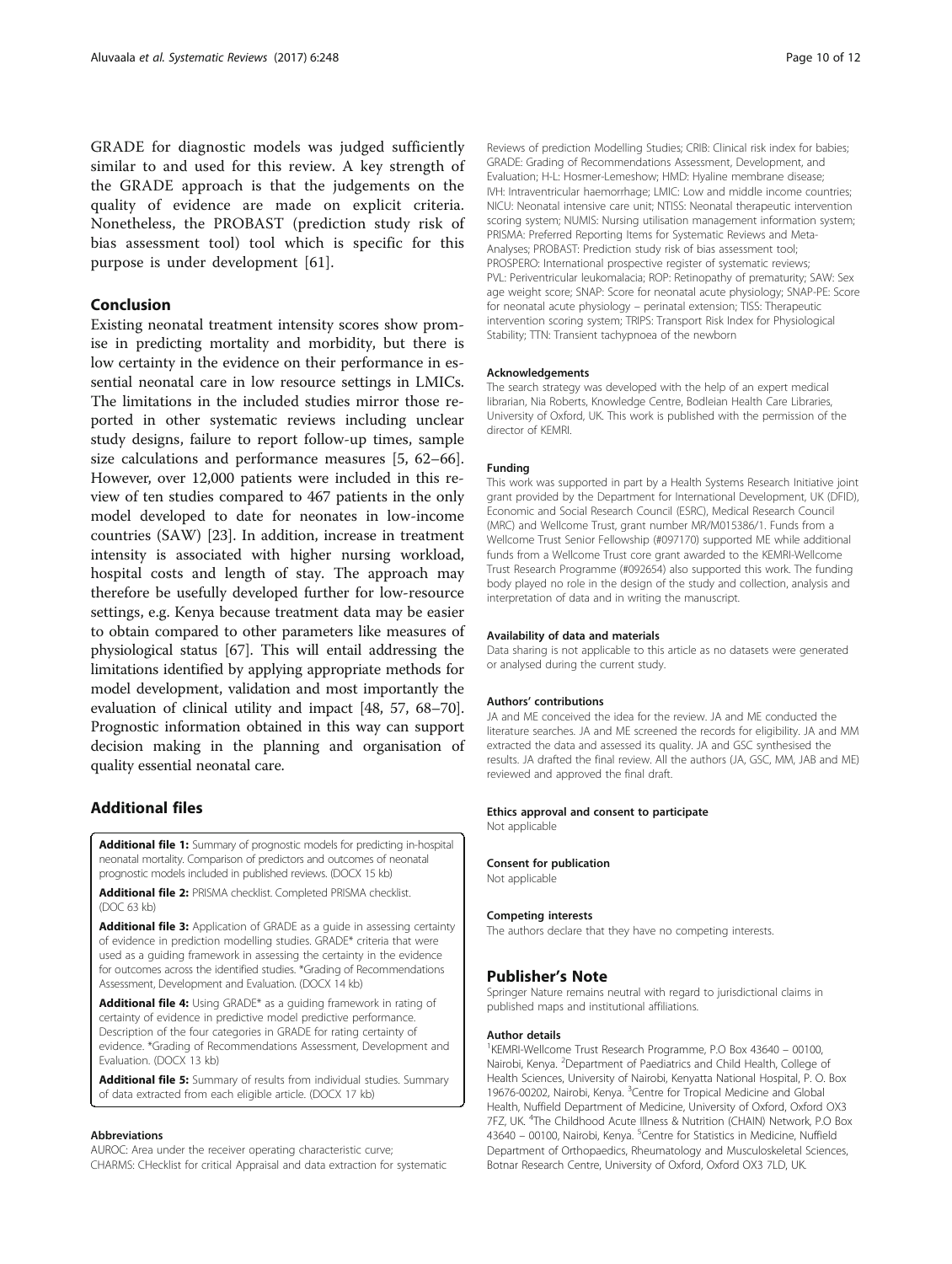<span id="page-9-0"></span>GRADE for diagnostic models was judged sufficiently similar to and used for this review. A key strength of the GRADE approach is that the judgements on the quality of evidence are made on explicit criteria. Nonetheless, the PROBAST (prediction study risk of bias assessment tool) tool which is specific for this purpose is under development [[61\]](#page-11-0).

#### Conclusion

Existing neonatal treatment intensity scores show promise in predicting mortality and morbidity, but there is low certainty in the evidence on their performance in essential neonatal care in low resource settings in LMICs. The limitations in the included studies mirror those reported in other systematic reviews including unclear study designs, failure to report follow-up times, sample size calculations and performance measures [\[5](#page-10-0), [62](#page-11-0)–[66](#page-11-0)]. However, over 12,000 patients were included in this review of ten studies compared to 467 patients in the only model developed to date for neonates in low-income countries (SAW) [[23\]](#page-10-0). In addition, increase in treatment intensity is associated with higher nursing workload, hospital costs and length of stay. The approach may therefore be usefully developed further for low-resource settings, e.g. Kenya because treatment data may be easier to obtain compared to other parameters like measures of physiological status [[67](#page-11-0)]. This will entail addressing the limitations identified by applying appropriate methods for model development, validation and most importantly the evaluation of clinical utility and impact [\[48,](#page-10-0) [57, 68](#page-11-0)–[70](#page-11-0)]. Prognostic information obtained in this way can support decision making in the planning and organisation of quality essential neonatal care.

# Additional files

[Additional file 1:](dx.doi.org/10.1186/s13643-017-0649-6) Summary of prognostic models for predicting in-hospital neonatal mortality. Comparison of predictors and outcomes of neonatal prognostic models included in published reviews. (DOCX 15 kb)

[Additional file 2:](dx.doi.org/10.1186/s13643-017-0649-6) PRISMA checklist. Completed PRISMA checklist. (DOC 63 kb)

[Additional file 3:](dx.doi.org/10.1186/s13643-017-0649-6) Application of GRADE as a quide in assessing certainty of evidence in prediction modelling studies. GRADE\* criteria that were used as a guiding framework in assessing the certainty in the evidence for outcomes across the identified studies. \*Grading of Recommendations Assessment, Development and Evaluation. (DOCX 14 kb)

[Additional file 4:](dx.doi.org/10.1186/s13643-017-0649-6) Using GRADE\* as a guiding framework in rating of certainty of evidence in predictive model predictive performance. Description of the four categories in GRADE for rating certainty of evidence. \*Grading of Recommendations Assessment, Development and Evaluation. (DOCX 13 kb)

[Additional file 5:](dx.doi.org/10.1186/s13643-017-0649-6) Summary of results from individual studies. Summary of data extracted from each eligible article. (DOCX 17 kb)

#### Abbreviations

AUROC: Area under the receiver operating characteristic curve; CHARMS: CHecklist for critical Appraisal and data extraction for systematic

Reviews of prediction Modelling Studies; CRIB: Clinical risk index for babies; GRADE: Grading of Recommendations Assessment, Development, and Evaluation; H-L: Hosmer-Lemeshow; HMD: Hyaline membrane disease; IVH: Intraventricular haemorrhage; LMIC: Low and middle income countries; NICU: Neonatal intensive care unit; NTISS: Neonatal therapeutic intervention scoring system; NUMIS: Nursing utilisation management information system; PRISMA: Preferred Reporting Items for Systematic Reviews and Meta-Analyses; PROBAST: Prediction study risk of bias assessment tool; PROSPERO: International prospective register of systematic reviews; PVL: Periventricular leukomalacia; ROP: Retinopathy of prematurity; SAW: Sex age weight score; SNAP: Score for neonatal acute physiology; SNAP-PE: Score for neonatal acute physiology – perinatal extension; TISS: Therapeutic intervention scoring system; TRIPS: Transport Risk Index for Physiological Stability; TTN: Transient tachypnoea of the newborn

#### Acknowledgements

The search strategy was developed with the help of an expert medical librarian, Nia Roberts, Knowledge Centre, Bodleian Health Care Libraries, University of Oxford, UK. This work is published with the permission of the director of KEMRI.

#### Funding

This work was supported in part by a Health Systems Research Initiative joint grant provided by the Department for International Development, UK (DFID), Economic and Social Research Council (ESRC), Medical Research Council (MRC) and Wellcome Trust, grant number MR/M015386/1. Funds from a Wellcome Trust Senior Fellowship (#097170) supported ME while additional funds from a Wellcome Trust core grant awarded to the KEMRI-Wellcome Trust Research Programme (#092654) also supported this work. The funding body played no role in the design of the study and collection, analysis and interpretation of data and in writing the manuscript.

#### Availability of data and materials

Data sharing is not applicable to this article as no datasets were generated or analysed during the current study.

#### Authors' contributions

JA and ME conceived the idea for the review. JA and ME conducted the literature searches. JA and ME screened the records for eligibility. JA and MM extracted the data and assessed its quality. JA and GSC synthesised the results. JA drafted the final review. All the authors (JA, GSC, MM, JAB and ME) reviewed and approved the final draft.

#### Ethics approval and consent to participate

Not applicable

Consent for publication

Not applicable

#### Competing interests

The authors declare that they have no competing interests.

#### Publisher's Note

Springer Nature remains neutral with regard to jurisdictional claims in published maps and institutional affiliations.

#### Author details

<sup>1</sup>KEMRI-Wellcome Trust Research Programme, P.O Box 43640 - 00100 Nairobi, Kenya. <sup>2</sup>Department of Paediatrics and Child Health, College of Health Sciences, University of Nairobi, Kenyatta National Hospital, P. O. Box 19676-00202, Nairobi, Kenya. <sup>3</sup>Centre for Tropical Medicine and Global Health, Nuffield Department of Medicine, University of Oxford, Oxford OX3 7FZ, UK. <sup>4</sup> The Childhood Acute Illness & Nutrition (CHAIN) Network, P.O Box 43640 - 00100, Nairobi, Kenya. <sup>5</sup>Centre for Statistics in Medicine, Nuffield Department of Orthopaedics, Rheumatology and Musculoskeletal Sciences, Botnar Research Centre, University of Oxford, Oxford OX3 7LD, UK.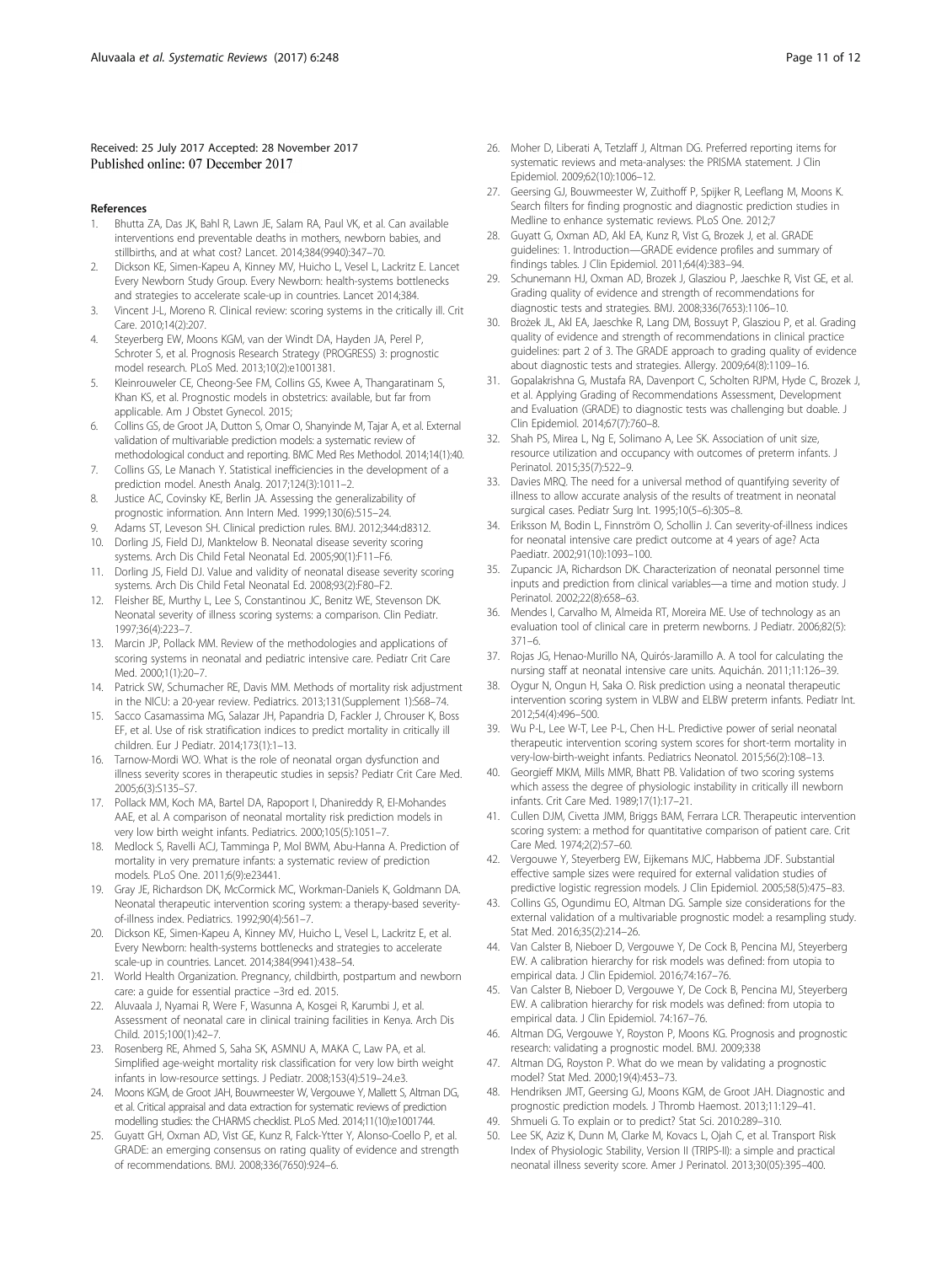#### <span id="page-10-0"></span>Received: 25 July 2017 Accepted: 28 November 2017 Published online: 07 December 2017

#### References

- 1. Bhutta ZA, Das JK, Bahl R, Lawn JE, Salam RA, Paul VK, et al. Can available interventions end preventable deaths in mothers, newborn babies, and stillbirths, and at what cost? Lancet. 2014;384(9940):347–70.
- 2. Dickson KE, Simen-Kapeu A, Kinney MV, Huicho L, Vesel L, Lackritz E. Lancet Every Newborn Study Group. Every Newborn: health-systems bottlenecks and strategies to accelerate scale-up in countries. Lancet 2014;384.
- Vincent J-L, Moreno R. Clinical review: scoring systems in the critically ill. Crit Care. 2010;14(2):207.
- 4. Steyerberg EW, Moons KGM, van der Windt DA, Hayden JA, Perel P, Schroter S, et al. Prognosis Research Strategy (PROGRESS) 3: prognostic model research. PLoS Med. 2013;10(2):e1001381.
- 5. Kleinrouweler CE, Cheong-See FM, Collins GS, Kwee A, Thangaratinam S, Khan KS, et al. Prognostic models in obstetrics: available, but far from applicable. Am J Obstet Gynecol. 2015;
- 6. Collins GS, de Groot JA, Dutton S, Omar O, Shanyinde M, Tajar A, et al. External validation of multivariable prediction models: a systematic review of methodological conduct and reporting. BMC Med Res Methodol. 2014;14(1):40.
- 7. Collins GS, Le Manach Y. Statistical inefficiencies in the development of a prediction model. Anesth Analg. 2017;124(3):1011–2.
- 8. Justice AC, Covinsky KE, Berlin JA. Assessing the generalizability of prognostic information. Ann Intern Med. 1999;130(6):515–24.
- 9. Adams ST, Leveson SH. Clinical prediction rules. BMJ. 2012;344:d8312.
- 10. Dorling JS, Field DJ, Manktelow B. Neonatal disease severity scoring systems. Arch Dis Child Fetal Neonatal Ed. 2005;90(1):F11–F6.
- 11. Dorling JS, Field DJ. Value and validity of neonatal disease severity scoring systems. Arch Dis Child Fetal Neonatal Ed. 2008;93(2):F80–F2.
- 12. Fleisher BE, Murthy L, Lee S, Constantinou JC, Benitz WE, Stevenson DK. Neonatal severity of illness scoring systems: a comparison. Clin Pediatr. 1997;36(4):223–7.
- 13. Marcin JP, Pollack MM. Review of the methodologies and applications of scoring systems in neonatal and pediatric intensive care. Pediatr Crit Care Med. 2000;1(1):20–7.
- 14. Patrick SW, Schumacher RE, Davis MM. Methods of mortality risk adjustment in the NICU: a 20-year review. Pediatrics. 2013;131(Supplement 1):S68–74.
- Sacco Casamassima MG, Salazar JH, Papandria D, Fackler J, Chrouser K, Boss EF, et al. Use of risk stratification indices to predict mortality in critically ill children. Eur J Pediatr. 2014;173(1):1–13.
- 16. Tarnow-Mordi WO. What is the role of neonatal organ dysfunction and illness severity scores in therapeutic studies in sepsis? Pediatr Crit Care Med. 2005;6(3):S135–S7.
- 17. Pollack MM, Koch MA, Bartel DA, Rapoport I, Dhanireddy R, El-Mohandes AAE, et al. A comparison of neonatal mortality risk prediction models in very low birth weight infants. Pediatrics. 2000;105(5):1051–7.
- 18. Medlock S, Ravelli ACJ, Tamminga P, Mol BWM, Abu-Hanna A. Prediction of mortality in very premature infants: a systematic review of prediction models. PLoS One. 2011;6(9):e23441.
- 19. Gray JE, Richardson DK, McCormick MC, Workman-Daniels K, Goldmann DA. Neonatal therapeutic intervention scoring system: a therapy-based severityof-illness index. Pediatrics. 1992;90(4):561–7.
- 20. Dickson KE, Simen-Kapeu A, Kinney MV, Huicho L, Vesel L, Lackritz E, et al. Every Newborn: health-systems bottlenecks and strategies to accelerate scale-up in countries. Lancet. 2014;384(9941):438–54.
- 21. World Health Organization. Pregnancy, childbirth, postpartum and newborn care: a guide for essential practice –3rd ed. 2015.
- 22. Aluvaala J, Nyamai R, Were F, Wasunna A, Kosgei R, Karumbi J, et al. Assessment of neonatal care in clinical training facilities in Kenya. Arch Dis Child. 2015;100(1):42–7.
- 23. Rosenberg RE, Ahmed S, Saha SK, ASMNU A, MAKA C, Law PA, et al. Simplified age-weight mortality risk classification for very low birth weight infants in low-resource settings. J Pediatr. 2008;153(4):519–24.e3.
- 24. Moons KGM, de Groot JAH, Bouwmeester W, Vergouwe Y, Mallett S, Altman DG, et al. Critical appraisal and data extraction for systematic reviews of prediction modelling studies: the CHARMS checklist. PLoS Med. 2014;11(10):e1001744.
- 25. Guyatt GH, Oxman AD, Vist GE, Kunz R, Falck-Ytter Y, Alonso-Coello P, et al. GRADE: an emerging consensus on rating quality of evidence and strength of recommendations. BMJ. 2008;336(7650):924–6.
- 26. Moher D, Liberati A, Tetzlaff J, Altman DG. Preferred reporting items for systematic reviews and meta-analyses: the PRISMA statement. J Clin Epidemiol. 2009;62(10):1006–12.
- 27. Geersing GJ, Bouwmeester W, Zuithoff P, Spijker R, Leeflang M, Moons K. Search filters for finding prognostic and diagnostic prediction studies in Medline to enhance systematic reviews. PLoS One. 2012;7
- 28. Guyatt G, Oxman AD, Akl EA, Kunz R, Vist G, Brozek J, et al. GRADE guidelines: 1. Introduction—GRADE evidence profiles and summary of findings tables. J Clin Epidemiol. 2011;64(4):383–94.
- 29. Schunemann HJ, Oxman AD, Brozek J, Glasziou P, Jaeschke R, Vist GE, et al. Grading quality of evidence and strength of recommendations for diagnostic tests and strategies. BMJ. 2008;336(7653):1106–10.
- 30. Brożek JL, Akl EA, Jaeschke R, Lang DM, Bossuyt P, Glasziou P, et al. Grading quality of evidence and strength of recommendations in clinical practice guidelines: part 2 of 3. The GRADE approach to grading quality of evidence about diagnostic tests and strategies. Allergy. 2009;64(8):1109–16.
- 31. Gopalakrishna G, Mustafa RA, Davenport C, Scholten RJPM, Hyde C, Brozek J, et al. Applying Grading of Recommendations Assessment, Development and Evaluation (GRADE) to diagnostic tests was challenging but doable. J Clin Epidemiol. 2014;67(7):760–8.
- 32. Shah PS, Mirea L, Ng E, Solimano A, Lee SK. Association of unit size, resource utilization and occupancy with outcomes of preterm infants. J Perinatol. 2015;35(7):522–9.
- 33. Davies MRQ. The need for a universal method of quantifying severity of illness to allow accurate analysis of the results of treatment in neonatal surgical cases. Pediatr Surg Int. 1995;10(5–6):305–8.
- 34. Eriksson M, Bodin L, Finnström O, Schollin J. Can severity-of-illness indices for neonatal intensive care predict outcome at 4 years of age? Acta Paediatr. 2002;91(10):1093–100.
- 35. Zupancic JA, Richardson DK. Characterization of neonatal personnel time inputs and prediction from clinical variables—a time and motion study. J Perinatol. 2002;22(8):658–63.
- 36. Mendes I, Carvalho M, Almeida RT, Moreira ME. Use of technology as an evaluation tool of clinical care in preterm newborns. J Pediatr. 2006;82(5): 371–6.
- 37. Rojas JG, Henao-Murillo NA, Quirós-Jaramillo A. A tool for calculating the nursing staff at neonatal intensive care units. Aquichán. 2011;11:126–39.
- 38. Oygur N, Ongun H, Saka O. Risk prediction using a neonatal therapeutic intervention scoring system in VLBW and ELBW preterm infants. Pediatr Int. 2012;54(4):496–500.
- 39. Wu P-L, Lee W-T, Lee P-L, Chen H-L. Predictive power of serial neonatal therapeutic intervention scoring system scores for short-term mortality in very-low-birth-weight infants. Pediatrics Neonatol. 2015;56(2):108–13.
- 40. Georgieff MKM, Mills MMR, Bhatt PB. Validation of two scoring systems which assess the degree of physiologic instability in critically ill newborn infants. Crit Care Med. 1989;17(1):17–21.
- 41. Cullen DJM, Civetta JMM, Briggs BAM, Ferrara LCR. Therapeutic intervention scoring system: a method for quantitative comparison of patient care. Crit Care Med. 1974;2(2):57–60.
- 42. Vergouwe Y, Steyerberg EW, Eijkemans MJC, Habbema JDF. Substantial effective sample sizes were required for external validation studies of predictive logistic regression models. J Clin Epidemiol. 2005;58(5):475–83.
- 43. Collins GS, Ogundimu EO, Altman DG. Sample size considerations for the external validation of a multivariable prognostic model: a resampling study. Stat Med. 2016;35(2):214–26.
- 44. Van Calster B, Nieboer D, Vergouwe Y, De Cock B, Pencina MJ, Steyerberg EW. A calibration hierarchy for risk models was defined: from utopia to empirical data. J Clin Epidemiol. 2016;74:167–76.
- 45. Van Calster B, Nieboer D, Vergouwe Y, De Cock B, Pencina MJ, Steyerberg EW. A calibration hierarchy for risk models was defined: from utopia to empirical data. J Clin Epidemiol. 74:167–76.
- 46. Altman DG, Vergouwe Y, Royston P, Moons KG. Prognosis and prognostic research: validating a prognostic model. BMJ. 2009;338
- 47. Altman DG, Royston P. What do we mean by validating a prognostic model? Stat Med. 2000;19(4):453–73.
- 48. Hendriksen JMT, Geersing GJ, Moons KGM, de Groot JAH. Diagnostic and prognostic prediction models. J Thromb Haemost. 2013;11:129–41.
- 49. Shmueli G. To explain or to predict? Stat Sci. 2010:289–310.
- 50. Lee SK, Aziz K, Dunn M, Clarke M, Kovacs L, Ojah C, et al. Transport Risk Index of Physiologic Stability, Version II (TRIPS-II): a simple and practical neonatal illness severity score. Amer J Perinatol. 2013;30(05):395–400.